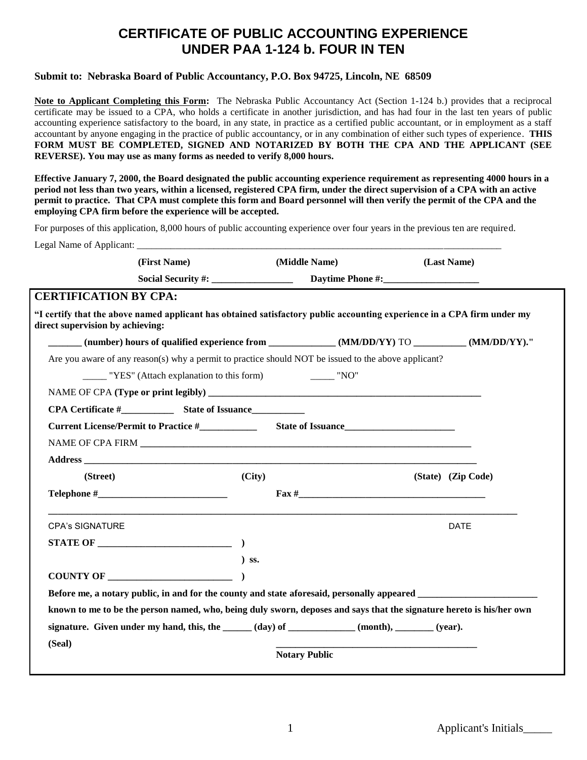## **CERTIFICATE OF PUBLIC ACCOUNTING EXPERIENCE UNDER PAA 1-124 b. FOUR IN TEN**

## **Submit to: Nebraska Board of Public Accountancy, P.O. Box 94725, Lincoln, NE 68509**

**Note to Applicant Completing this Form:** The Nebraska Public Accountancy Act (Section 1-124 b.) provides that a reciprocal certificate may be issued to a CPA, who holds a certificate in another jurisdiction, and has had four in the last ten years of public accounting experience satisfactory to the board, in any state, in practice as a certified public accountant, or in employment as a staff accountant by anyone engaging in the practice of public accountancy, or in any combination of either such types of experience. **THIS FORM MUST BE COMPLETED, SIGNED AND NOTARIZED BY BOTH THE CPA AND THE APPLICANT (SEE REVERSE). You may use as many forms as needed to verify 8,000 hours.**

**Effective January 7, 2000, the Board designated the public accounting experience requirement as representing 4000 hours in a period not less than two years, within a licensed, registered CPA firm, under the direct supervision of a CPA with an active permit to practice. That CPA must complete this form and Board personnel will then verify the permit of the CPA and the employing CPA firm before the experience will be accepted.**

For purposes of this application, 8,000 hours of public accounting experience over four years in the previous ten are required.

| (First Name)                                                                                                                                                |         | (Middle Name)        | (Last Name)        |  |
|-------------------------------------------------------------------------------------------------------------------------------------------------------------|---------|----------------------|--------------------|--|
|                                                                                                                                                             |         |                      |                    |  |
| <b>CERTIFICATION BY CPA:</b>                                                                                                                                |         |                      |                    |  |
| "I certify that the above named applicant has obtained satisfactory public accounting experience in a CPA firm under my<br>direct supervision by achieving: |         |                      |                    |  |
| (number) hours of qualified experience from _____________(MM/DD/YY) TO ________(MM/DD/YY)."                                                                 |         |                      |                    |  |
| Are you aware of any reason(s) why a permit to practice should NOT be issued to the above applicant?                                                        |         |                      |                    |  |
| $\frac{1}{1}$ "YES" (Attach explanation to this form)                                                                                                       |         | $\frac{1}{2}$ "NO"   |                    |  |
|                                                                                                                                                             |         |                      |                    |  |
|                                                                                                                                                             |         |                      |                    |  |
|                                                                                                                                                             |         |                      |                    |  |
|                                                                                                                                                             |         |                      |                    |  |
|                                                                                                                                                             |         |                      |                    |  |
| (Street)                                                                                                                                                    | (City)  |                      | (State) (Zip Code) |  |
| $\textbf{Telephone} \#$                                                                                                                                     |         |                      |                    |  |
|                                                                                                                                                             |         |                      |                    |  |
| <b>CPA's SIGNATURE</b>                                                                                                                                      |         |                      | <b>DATE</b>        |  |
|                                                                                                                                                             |         |                      |                    |  |
|                                                                                                                                                             | $)$ SS. |                      |                    |  |
| COUNTY OF $\qquad \qquad$ ()                                                                                                                                |         |                      |                    |  |
|                                                                                                                                                             |         |                      |                    |  |
| known to me to be the person named, who, being duly sworn, deposes and says that the signature hereto is his/her own                                        |         |                      |                    |  |
| signature. Given under my hand, this, the _____ (day) of _________ (month), ______ (year).                                                                  |         |                      |                    |  |
| (Seal)                                                                                                                                                      |         |                      |                    |  |
|                                                                                                                                                             |         | <b>Notary Public</b> |                    |  |